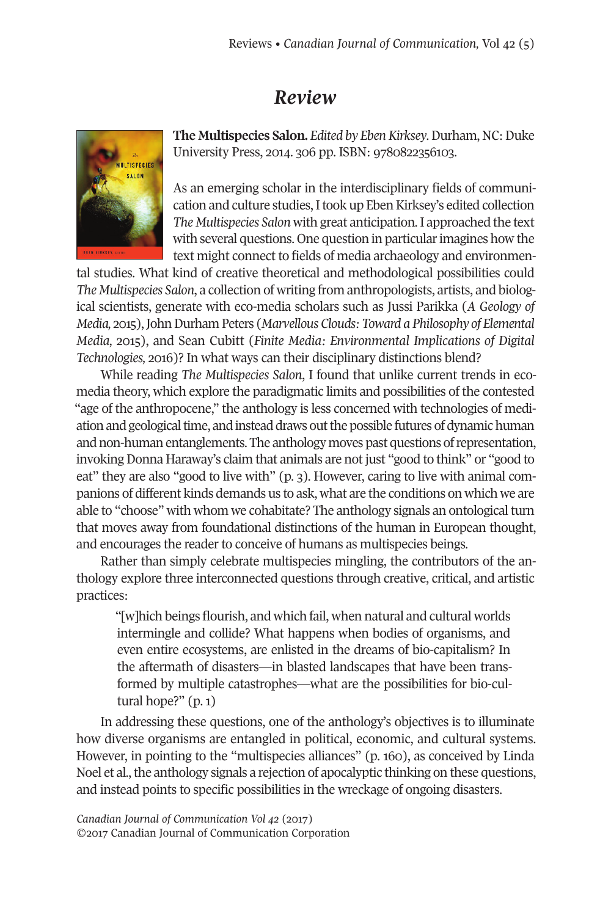## *Review*



**The Multispecies Salon.** *Edited by EbenKirksey*.Durham, NC:Duke University Press, 2014. 306 pp. ISBN: 9780822356103.

As an emerging scholar in the interdisciplinary fields of communication and culture studies, I took up Eben Kirksey's edited collection *The Multispecies Salon* with great anticipation.I approached the text with several questions. One question in particular imagines how the text might connect to fields of media archaeology and environmen-

tal studies. What kind of creative theoretical and methodological possibilities could *The Multispecies Salon*, a collection of writing from anthropologists, artists, and biological scientists, generate with eco-media scholars such as Jussi Parikka (*A Geology of Media,* 2015),JohnDurham Peters (*Marvellous Clouds: Toward a Philosophy of Elemental Media,* 2015), and Sean Cubitt (*Finite Media: Environmental Implications of Digital Technologies,* 2016)? In what ways can their disciplinary distinctions blend?

While reading *The Multispecies Salon*, I found that unlike current trends in ecomedia theory, which explore the paradigmatic limits and possibilities of the contested "age of the anthropocene," the anthology is less concerned with technologies of mediation and geological time, and instead draws out the possible futures of dynamic human and non-human entanglements. The anthology moves past questions of representation, invoking Donna Haraway's claim that animals are not just "good to think" or "good to eat" they are also "good to live with" (p. 3). However, caring to live with animal companions of different kinds demands us to ask, what are the conditions on which we are able to "choose" with whom we cohabitate? The anthology signals an ontological turn that moves away from foundational distinctions of the human in European thought, and encourages the reader to conceive of humans as multispecies beings.

Rather than simply celebrate multispecies mingling, the contributors of the anthology explore three interconnected questions through creative, critical, and artistic practices:

"[w]hich beings flourish, and which fail, when natural and cultural worlds intermingle and collide? What happens when bodies of organisms, and even entire ecosystems, are enlisted in the dreams of bio-capitalism? In the aftermath of disasters—in blasted landscapes that have been transformed by multiple catastrophes—what are the possibilities for bio-cultural hope?" (p. 1)

In addressing these questions, one of the anthology's objectives is to illuminate how diverse organisms are entangled in political, economic, and cultural systems. However, in pointing to the "multispecies alliances" (p. 160), as conceived by Linda Noel et al., the anthology signals a rejection of apocalyptic thinking on these questions, and instead points to specific possibilities in the wreckage of ongoing disasters.

*Canadian Journal of [Communication](http://www.cjc-online.ca) Vol 42* (2017) ©2017 Canadian Journal of Communication Corporation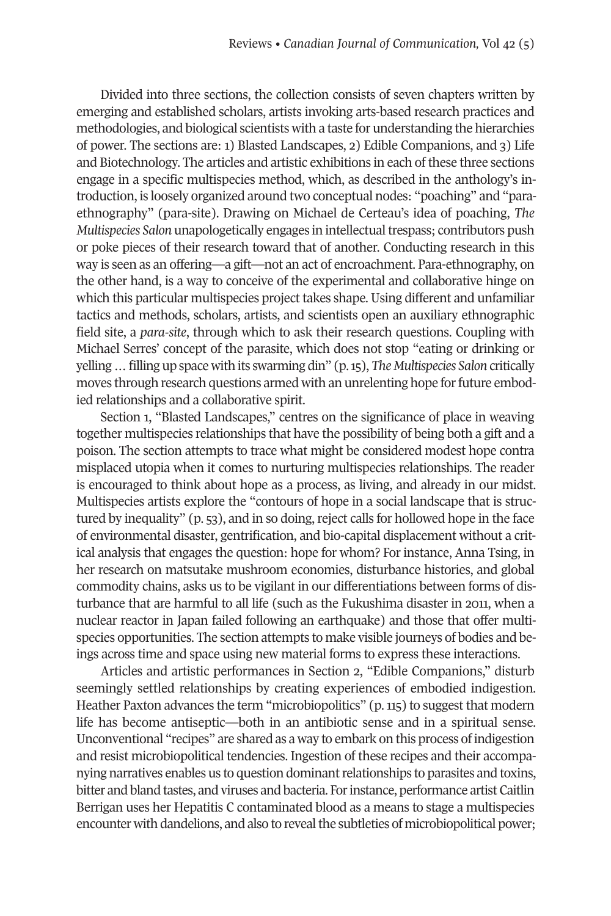Divided into three sections, the collection consists of seven chapters written by emerging and established scholars, artists invoking arts-based research practices and methodologies, and biological scientists with a taste for understanding the hierarchies of power. The sections are: 1) Blasted Landscapes, 2) Edible Companions, and 3) Life and Biotechnology. The articles and artistic exhibitions in each of these three sections engage in a specific multispecies method, which, as described in the anthology's introduction, is loosely organized around two conceptual nodes: "poaching" and "paraethnography" (para-site). Drawing on Michael de Certeau's idea of poaching, *The Multispecies Salon* unapologetically engages in intellectual trespass; contributors push or poke pieces of their research toward that of another. Conducting research in this way is seen as an offering—a gift—not an act of encroachment. Para-ethnography, on the other hand, is a way to conceive of the experimental and collaborative hinge on which this particular multispecies project takes shape. Using different and unfamiliar tactics and methods, scholars, artists, and scientists open an auxiliary ethnographic field site, a *para-site*, through which to ask their research questions. Coupling with Michael Serres' concept of the parasite, which does not stop "eating or drinking or yelling…filling up space with its swarming din" (p.15), *The Multispecies Salon* critically moves through research questions armed with an unrelenting hope for future embodied relationships and a collaborative spirit.

Section 1, "Blasted Landscapes," centres on the significance of place in weaving together multispecies relationships that have the possibility of being both a gift and a poison. The section attempts to trace what might be considered modest hope contra misplaced utopia when it comes to nurturing multispecies relationships. The reader is encouraged to think about hope as a process, as living, and already in our midst. Multispecies artists explore the "contours of hope in a social landscape that is structured by inequality" (p. 53), and in so doing, reject calls for hollowed hope in the face of environmental disaster, gentrification, and bio-capital displacement without a critical analysis that engages the question: hope for whom? For instance, Anna Tsing, in her research on matsutake mushroom economies, disturbance histories, and global commodity chains, asks us to be vigilant in our differentiations between forms of disturbance that are harmful to all life (such as the Fukushima disaster in 2011, when a nuclear reactor in Japan failed following an earthquake) and those that offer multispecies opportunities. The section attempts to make visible journeys of bodies and beings across time and space using new material forms to express these interactions.

Articles and artistic performances in Section 2, "Edible Companions," disturb seemingly settled relationships by creating experiences of embodied indigestion. Heather Paxton advances the term "microbiopolitics" (p.115) to suggest that modern life has become antiseptic—both in an antibiotic sense and in a spiritual sense. Unconventional "recipes" are shared as a way to embark on this process of indigestion and resist microbiopolitical tendencies. Ingestion of these recipes and their accompanying narratives enables us to question dominantrelationships to parasites and toxins, bitter and bland tastes, and viruses and bacteria. Forinstance, performance artist Caitlin Berrigan uses her Hepatitis C contaminated blood as a means to stage a multispecies encounter with dandelions, and also to reveal the subtleties of microbiopolitical power;